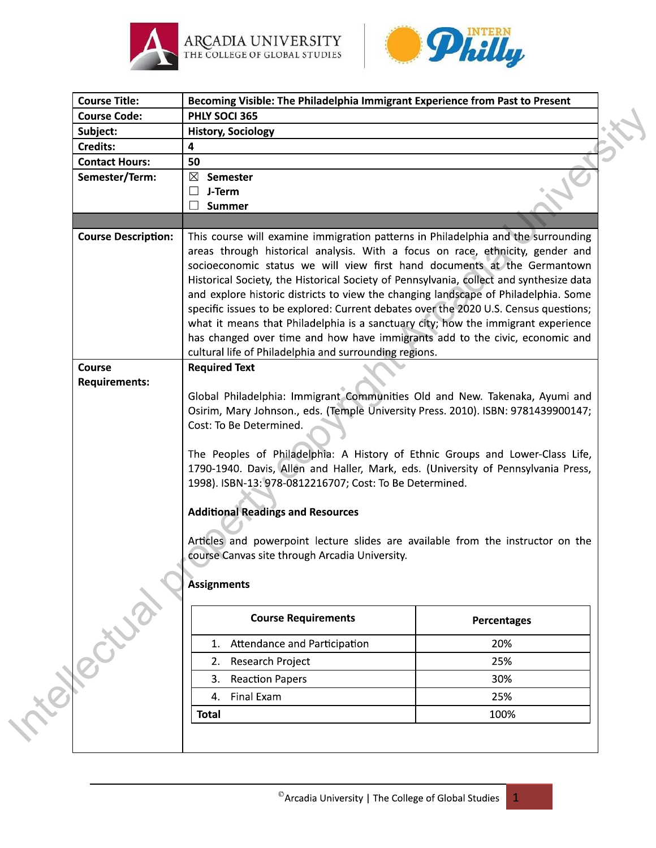





| <b>Course Title:</b>                     | Becoming Visible: The Philadelphia Immigrant Experience from Past to Present                                                                                                                                                                                                                                                                                                                                                                                                                                                                                                                                                                                                                                                                             |                    |  |
|------------------------------------------|----------------------------------------------------------------------------------------------------------------------------------------------------------------------------------------------------------------------------------------------------------------------------------------------------------------------------------------------------------------------------------------------------------------------------------------------------------------------------------------------------------------------------------------------------------------------------------------------------------------------------------------------------------------------------------------------------------------------------------------------------------|--------------------|--|
| <b>Course Code:</b>                      | PHLY SOCI 365                                                                                                                                                                                                                                                                                                                                                                                                                                                                                                                                                                                                                                                                                                                                            |                    |  |
| Subject:                                 | <b>History, Sociology</b>                                                                                                                                                                                                                                                                                                                                                                                                                                                                                                                                                                                                                                                                                                                                |                    |  |
| <b>Credits:</b><br><b>Contact Hours:</b> | 4                                                                                                                                                                                                                                                                                                                                                                                                                                                                                                                                                                                                                                                                                                                                                        |                    |  |
| Semester/Term:                           | 50                                                                                                                                                                                                                                                                                                                                                                                                                                                                                                                                                                                                                                                                                                                                                       |                    |  |
|                                          | $\boxtimes$ Semester<br>J-Term<br>$\mathsf{L}$                                                                                                                                                                                                                                                                                                                                                                                                                                                                                                                                                                                                                                                                                                           |                    |  |
|                                          | $\vert \ \ \vert$<br><b>Summer</b>                                                                                                                                                                                                                                                                                                                                                                                                                                                                                                                                                                                                                                                                                                                       |                    |  |
|                                          |                                                                                                                                                                                                                                                                                                                                                                                                                                                                                                                                                                                                                                                                                                                                                          |                    |  |
| <b>Course Description:</b>               | This course will examine immigration patterns in Philadelphia and the surrounding<br>areas through historical analysis. With a focus on race, ethnicity, gender and<br>socioeconomic status we will view first hand documents at the Germantown<br>Historical Society, the Historical Society of Pennsylvania, collect and synthesize data<br>and explore historic districts to view the changing landscape of Philadelphia. Some<br>specific issues to be explored: Current debates over the 2020 U.S. Census questions;<br>what it means that Philadelphia is a sanctuary city; how the immigrant experience<br>has changed over time and how have immigrants add to the civic, economic and<br>cultural life of Philadelphia and surrounding regions. |                    |  |
| <b>Course</b>                            | <b>Required Text</b>                                                                                                                                                                                                                                                                                                                                                                                                                                                                                                                                                                                                                                                                                                                                     |                    |  |
| <b>Requirements:</b>                     |                                                                                                                                                                                                                                                                                                                                                                                                                                                                                                                                                                                                                                                                                                                                                          |                    |  |
|                                          | Global Philadelphia: Immigrant Communities Old and New. Takenaka, Ayumi and                                                                                                                                                                                                                                                                                                                                                                                                                                                                                                                                                                                                                                                                              |                    |  |
|                                          | Osirim, Mary Johnson., eds. (Temple University Press. 2010). ISBN: 9781439900147;                                                                                                                                                                                                                                                                                                                                                                                                                                                                                                                                                                                                                                                                        |                    |  |
|                                          | Cost: To Be Determined.                                                                                                                                                                                                                                                                                                                                                                                                                                                                                                                                                                                                                                                                                                                                  |                    |  |
|                                          | The Peoples of Philadelphia: A History of Ethnic Groups and Lower-Class Life,<br>1790-1940. Davis, Allen and Haller, Mark, eds. (University of Pennsylvania Press,<br>1998). ISBN-13: 978-0812216707; Cost: To Be Determined.<br><b>Additional Readings and Resources</b>                                                                                                                                                                                                                                                                                                                                                                                                                                                                                |                    |  |
|                                          | Articles and powerpoint lecture slides are available from the instructor on the                                                                                                                                                                                                                                                                                                                                                                                                                                                                                                                                                                                                                                                                          |                    |  |
|                                          | course Canvas site through Arcadia University.                                                                                                                                                                                                                                                                                                                                                                                                                                                                                                                                                                                                                                                                                                           |                    |  |
|                                          |                                                                                                                                                                                                                                                                                                                                                                                                                                                                                                                                                                                                                                                                                                                                                          |                    |  |
|                                          | <b>Assignments</b>                                                                                                                                                                                                                                                                                                                                                                                                                                                                                                                                                                                                                                                                                                                                       |                    |  |
|                                          |                                                                                                                                                                                                                                                                                                                                                                                                                                                                                                                                                                                                                                                                                                                                                          |                    |  |
|                                          | <b>Course Requirements</b>                                                                                                                                                                                                                                                                                                                                                                                                                                                                                                                                                                                                                                                                                                                               | <b>Percentages</b> |  |
|                                          | Attendance and Participation<br>1.                                                                                                                                                                                                                                                                                                                                                                                                                                                                                                                                                                                                                                                                                                                       | 20%                |  |
|                                          | Research Project<br>2.                                                                                                                                                                                                                                                                                                                                                                                                                                                                                                                                                                                                                                                                                                                                   | 25%                |  |
|                                          | З.                                                                                                                                                                                                                                                                                                                                                                                                                                                                                                                                                                                                                                                                                                                                                       | 30%                |  |
| Telection                                | <b>Reaction Papers</b><br>Final Exam<br>4.                                                                                                                                                                                                                                                                                                                                                                                                                                                                                                                                                                                                                                                                                                               | 25%                |  |

 $\mathbf 1$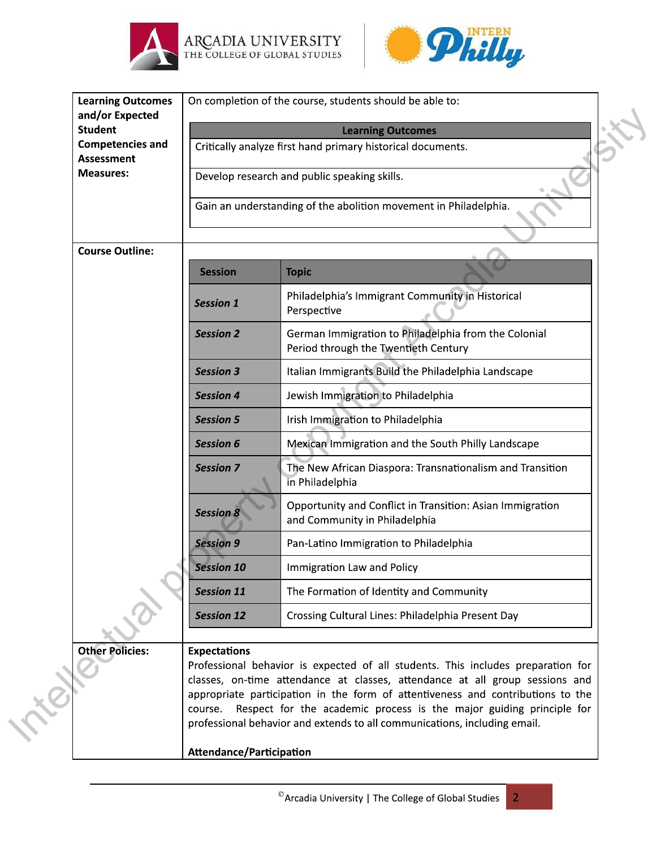





| <b>Learning Outcomes</b><br>and/or Expected  | On completion of the course, students should be able to:         |                                                                                                                                                                                                                                                                                                                                                                                                         |  |
|----------------------------------------------|------------------------------------------------------------------|---------------------------------------------------------------------------------------------------------------------------------------------------------------------------------------------------------------------------------------------------------------------------------------------------------------------------------------------------------------------------------------------------------|--|
| <b>Student</b>                               | <b>Learning Outcomes</b>                                         |                                                                                                                                                                                                                                                                                                                                                                                                         |  |
| <b>Competencies and</b><br><b>Assessment</b> | Critically analyze first hand primary historical documents.      |                                                                                                                                                                                                                                                                                                                                                                                                         |  |
| <b>Measures:</b>                             |                                                                  | Develop research and public speaking skills.                                                                                                                                                                                                                                                                                                                                                            |  |
|                                              | Gain an understanding of the abolition movement in Philadelphia. |                                                                                                                                                                                                                                                                                                                                                                                                         |  |
| <b>Course Outline:</b>                       |                                                                  |                                                                                                                                                                                                                                                                                                                                                                                                         |  |
|                                              | <b>Session</b>                                                   | <b>Topic</b>                                                                                                                                                                                                                                                                                                                                                                                            |  |
|                                              | <b>Session 1</b>                                                 | Philadelphia's Immigrant Community in Historical<br>Perspective                                                                                                                                                                                                                                                                                                                                         |  |
|                                              | <b>Session 2</b>                                                 | German Immigration to Philadelphia from the Colonial<br>Period through the Twentieth Century                                                                                                                                                                                                                                                                                                            |  |
|                                              | <b>Session 3</b>                                                 | Italian Immigrants Build the Philadelphia Landscape                                                                                                                                                                                                                                                                                                                                                     |  |
|                                              | <b>Session 4</b>                                                 | Jewish Immigration to Philadelphia                                                                                                                                                                                                                                                                                                                                                                      |  |
|                                              | <b>Session 5</b>                                                 | Irish Immigration to Philadelphia                                                                                                                                                                                                                                                                                                                                                                       |  |
|                                              | <b>Session 6</b>                                                 | Mexican Immigration and the South Philly Landscape                                                                                                                                                                                                                                                                                                                                                      |  |
|                                              | <b>Session 7</b>                                                 | The New African Diaspora: Transnationalism and Transition<br>in Philadelphia                                                                                                                                                                                                                                                                                                                            |  |
|                                              | <b>Session 8</b>                                                 | Opportunity and Conflict in Transition: Asian Immigration<br>and Community in Philadelphia                                                                                                                                                                                                                                                                                                              |  |
|                                              | <b>Session 9</b>                                                 | Pan-Latino Immigration to Philadelphia                                                                                                                                                                                                                                                                                                                                                                  |  |
|                                              | <b>Session 10</b>                                                | Immigration Law and Policy                                                                                                                                                                                                                                                                                                                                                                              |  |
|                                              | <b>Session 11</b>                                                | The Formation of Identity and Community                                                                                                                                                                                                                                                                                                                                                                 |  |
|                                              | <b>Session 12</b>                                                | Crossing Cultural Lines: Philadelphia Present Day                                                                                                                                                                                                                                                                                                                                                       |  |
| <b>Other Policies:</b>                       | <b>Expectations</b><br>course.<br>Attendance/Participation       | Professional behavior is expected of all students. This includes preparation for<br>classes, on-time attendance at classes, attendance at all group sessions and<br>appropriate participation in the form of attentiveness and contributions to the<br>Respect for the academic process is the major guiding principle for<br>professional behavior and extends to all communications, including email. |  |
|                                              |                                                                  |                                                                                                                                                                                                                                                                                                                                                                                                         |  |

 $\overline{2}$